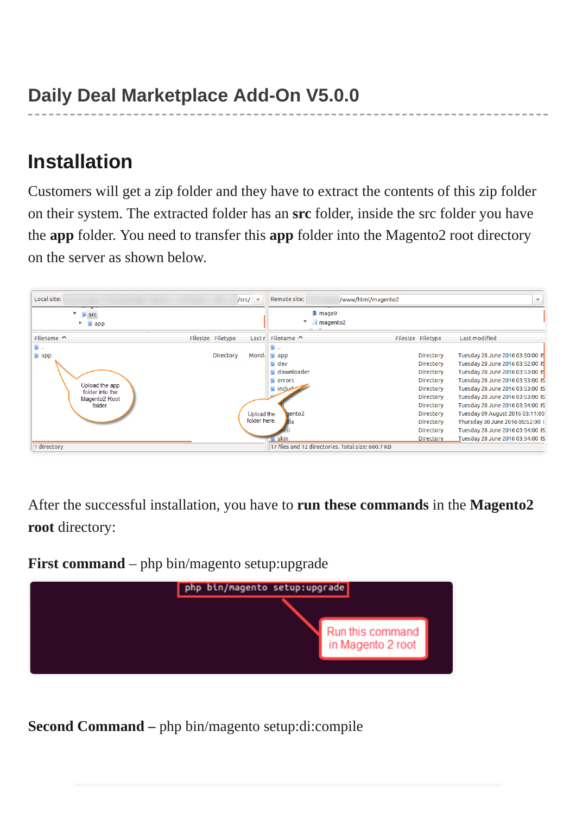## **Installation**

Customers will get a zip folder and they have to extract the contents of this zip folder on their system. The extracted folder has an **src** folder, inside the src folder you have the **app** folder. You need to transfer this **app** folder into the Magento2 root directory on the server as shown below.



After the successful installation, you have to **run these commands** in the **Magento2 root** directory:

**First command** – php bin/magento setup:upgrade



**Second Command –** php bin/magento setup:di:compile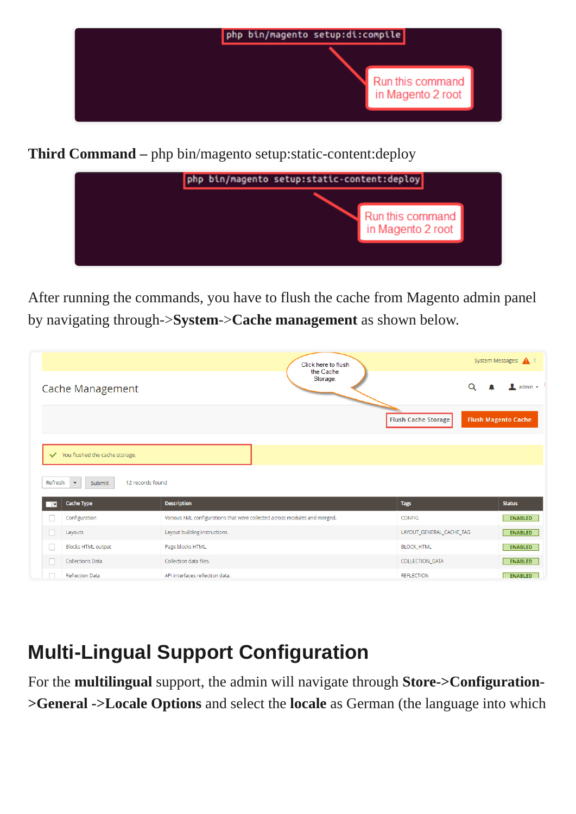

**Third Command –** php bin/magento setup:static-content:deploy



After running the commands, you have to flush the cache from Magento admin panel by navigating through->**System**->**Cache management** as shown below.

|                                                | Click here to flush                                                       |                          | System Messages: 4 1       |
|------------------------------------------------|---------------------------------------------------------------------------|--------------------------|----------------------------|
| <b>Cache Management</b>                        | the Cache<br>Storage.                                                     |                          | Q<br>admin $\star$         |
|                                                |                                                                           | Flush Cache Storage      | <b>Flush Magento Cache</b> |
|                                                |                                                                           |                          |                            |
| You flushed the cache storage.                 |                                                                           |                          |                            |
| Refresh<br>$\boldsymbol{\mathrm{v}}$<br>Submit | 12 records found                                                          |                          |                            |
| <b>Cache Type</b><br>$\overline{\phantom{a}}$  | <b>Description</b>                                                        | <b>Tags</b>              | <b>Status</b>              |
| Configuration                                  | Various XML configurations that were collected across modules and merged. | CONFIG                   | <b>ENABLED</b>             |
| Layouts                                        | Layout building instructions.                                             | LAYOUT_GENERAL_CACHE_TAG | <b>ENABLED</b>             |
| <b>Blocks HTML output</b>                      | Page blocks HTML.                                                         | <b>BLOCK HTML</b>        | <b>ENABLED</b>             |
| <b>Collections Data</b>                        | Collection data files.                                                    | COLLECTION_DATA          | <b>ENABLED</b>             |
| <b>Reflection Data</b>                         | API interfaces reflection data.                                           | <b>REFLECTION</b>        | <b>ENABLED</b>             |

# **Multi-Lingual Support Configuration**

For the **multilingual** support, the admin will navigate through **Store->Configuration- >General ->Locale Options** and select the **locale** as German (the language into which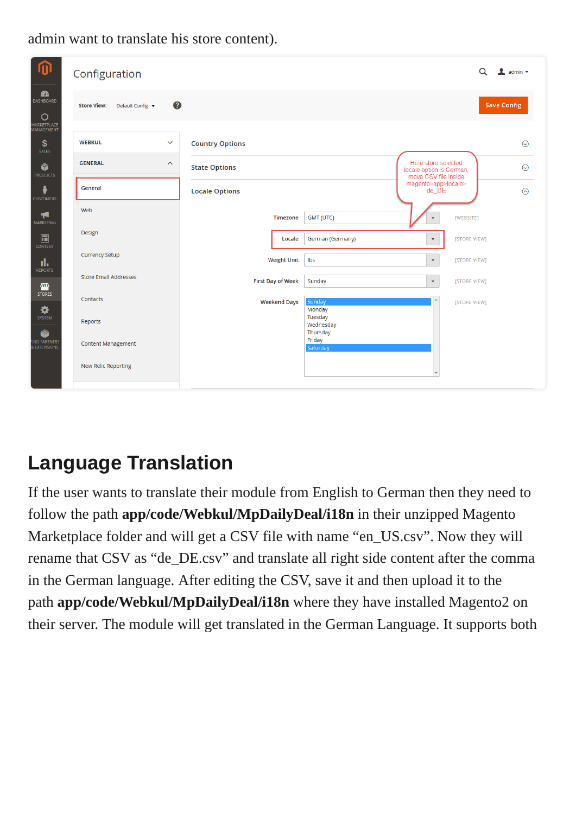| 而                                                              | Configuration                               | Q                                                                                               | $\triangle$ admin $\star$ |
|----------------------------------------------------------------|---------------------------------------------|-------------------------------------------------------------------------------------------------|---------------------------|
| $\bullet$<br>DASHBOARD<br>$\circ$<br>MARKETPLACE<br>MANAGEMENT | 0<br>Default Config v<br><b>Store View:</b> | <b>Save Config</b>                                                                              |                           |
| \$<br>SALES                                                    | <b>WEBKUL</b><br>$\checkmark$               | <b>Country Options</b>                                                                          | $\odot$                   |
| Ŵ<br><b>PRODUCTS</b>                                           | <b>GENERAL</b><br>$\boldsymbol{\wedge}$     | Here store selected<br><b>State Options</b><br>locale option is German,<br>move CSV file inside | $\odot$                   |
| Å<br><b>CUSTOMERS</b>                                          | General                                     | magento>app>locale><br>de_DE<br><b>Locale Options</b>                                           | $\odot$                   |
| ◀<br><b>MARKETING</b>                                          | Web                                         | <b>Timezone</b><br>GMT (UTC)<br>[WEBSITE]<br>$\overline{\mathbf{v}}$                            |                           |
| $\square$<br><b>CONTENT</b>                                    | Design                                      | Locale<br>German (Germany)<br>[STORE VIEW]<br>$\blacktriangledown$                              |                           |
| d.<br><b>REPORTS</b>                                           | <b>Currency Setup</b>                       | <b>Weight Unit</b><br>Ibs<br>[STORE VIEW]<br>$\blacktriangledown$                               |                           |
| 伵<br><b>STORES</b>                                             | <b>Store Email Addresses</b>                | <b>First Day of Week</b><br>Sunday<br>[STORE VIEW]<br>$\blacktriangledown$                      |                           |
| ⋫<br>SYSTEM                                                    | Contacts<br>Reports                         | Sunday<br><b>Weekend Days</b><br>[STORE VIEW]<br>Monday<br>Tuesday<br>Wednesday                 |                           |
| ø<br>IND PARTNERS<br>& EXTENSIONS                              | <b>Content Management</b>                   | Thursday<br>Friday<br>Saturday                                                                  |                           |
|                                                                | <b>New Relic Reporting</b>                  |                                                                                                 |                           |

#### admin want to translate his store content).

## **Language Translation**

If the user wants to translate their module from English to German then they need to follow the path **app/code/Webkul/MpDailyDeal/i18n** in their unzipped Magento Marketplace folder and will get a CSV file with name "en\_US.csv". Now they will rename that CSV as "de\_DE.csv" and translate all right side content after the comma in the German language. After editing the CSV, save it and then upload it to the path **app/code/Webkul/MpDailyDeal/i18n** where they have installed Magento2 on their server. The module will get translated in the German Language. It supports both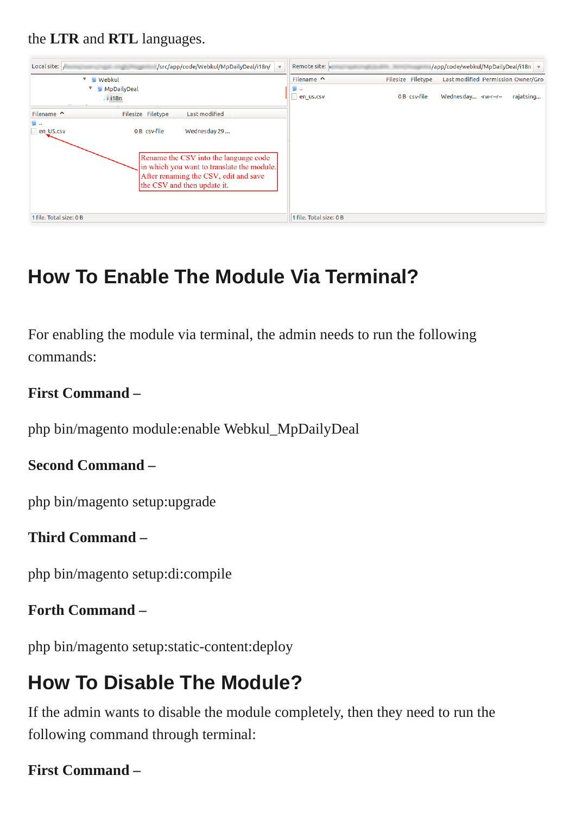the **LTR** and **RTL** languages.



# **How To Enable The Module Via Terminal?**

For enabling the module via terminal, the admin needs to run the following commands:

#### **First Command –**

php bin/magento module:enable Webkul\_MpDailyDeal

#### **Second Command –**

php bin/magento setup:upgrade

#### **Third Command –**

php bin/magento setup:di:compile

#### **Forth Command –**

php bin/magento setup:static-content:deploy

## **How To Disable The Module?**

If the admin wants to disable the module completely, then they need to run the following command through terminal:

#### **First Command –**